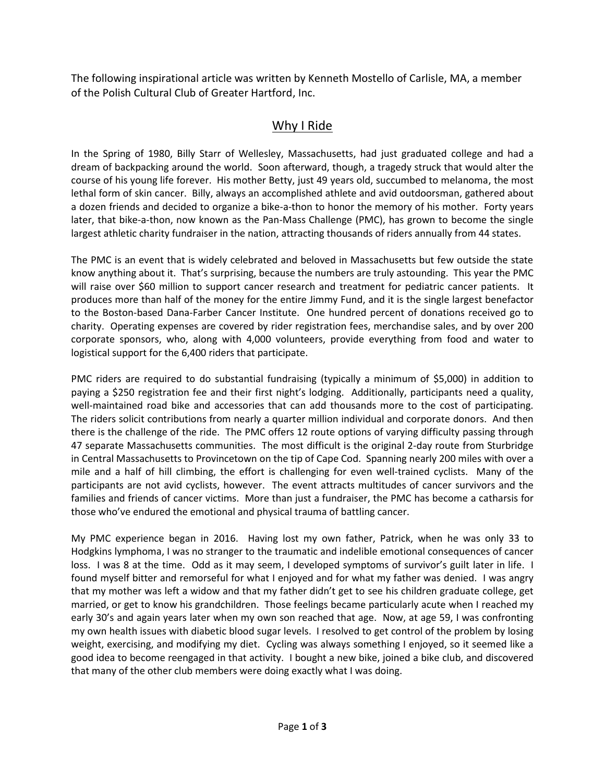The following inspirational article was written by Kenneth Mostello of Carlisle, MA, a member of the Polish Cultural Club of Greater Hartford, Inc.

## Why I Ride

In the Spring of 1980, Billy Starr of Wellesley, Massachusetts, had just graduated college and had a dream of backpacking around the world. Soon afterward, though, a tragedy struck that would alter the course of his young life forever. His mother Betty, just 49 years old, succumbed to melanoma, the most lethal form of skin cancer. Billy, always an accomplished athlete and avid outdoorsman, gathered about a dozen friends and decided to organize a bike-a-thon to honor the memory of his mother. Forty years later, that bike-a-thon, now known as the Pan-Mass Challenge (PMC), has grown to become the single largest athletic charity fundraiser in the nation, attracting thousands of riders annually from 44 states.

The PMC is an event that is widely celebrated and beloved in Massachusetts but few outside the state know anything about it. That's surprising, because the numbers are truly astounding. This year the PMC will raise over \$60 million to support cancer research and treatment for pediatric cancer patients. It produces more than half of the money for the entire Jimmy Fund, and it is the single largest benefactor to the Boston-based Dana-Farber Cancer Institute. One hundred percent of donations received go to charity. Operating expenses are covered by rider registration fees, merchandise sales, and by over 200 corporate sponsors, who, along with 4,000 volunteers, provide everything from food and water to logistical support for the 6,400 riders that participate.

PMC riders are required to do substantial fundraising (typically a minimum of \$5,000) in addition to paying a \$250 registration fee and their first night's lodging. Additionally, participants need a quality, well-maintained road bike and accessories that can add thousands more to the cost of participating. The riders solicit contributions from nearly a quarter million individual and corporate donors. And then there is the challenge of the ride. The PMC offers 12 route options of varying difficulty passing through 47 separate Massachusetts communities. The most difficult is the original 2-day route from Sturbridge in Central Massachusetts to Provincetown on the tip of Cape Cod. Spanning nearly 200 miles with over a mile and a half of hill climbing, the effort is challenging for even well-trained cyclists. Many of the participants are not avid cyclists, however. The event attracts multitudes of cancer survivors and the families and friends of cancer victims. More than just a fundraiser, the PMC has become a catharsis for those who've endured the emotional and physical trauma of battling cancer.

My PMC experience began in 2016. Having lost my own father, Patrick, when he was only 33 to Hodgkins lymphoma, I was no stranger to the traumatic and indelible emotional consequences of cancer loss. I was 8 at the time. Odd as it may seem, I developed symptoms of survivor's guilt later in life. I found myself bitter and remorseful for what I enjoyed and for what my father was denied. I was angry that my mother was left a widow and that my father didn't get to see his children graduate college, get married, or get to know his grandchildren. Those feelings became particularly acute when I reached my early 30's and again years later when my own son reached that age. Now, at age 59, I was confronting my own health issues with diabetic blood sugar levels. I resolved to get control of the problem by losing weight, exercising, and modifying my diet. Cycling was always something I enjoyed, so it seemed like a good idea to become reengaged in that activity. I bought a new bike, joined a bike club, and discovered that many of the other club members were doing exactly what I was doing.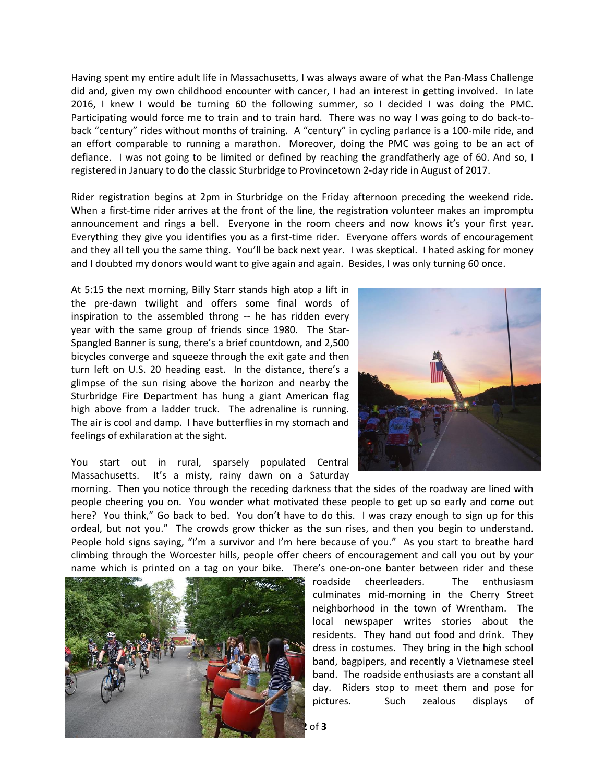Having spent my entire adult life in Massachusetts, I was always aware of what the Pan-Mass Challenge did and, given my own childhood encounter with cancer, I had an interest in getting involved. In late 2016, I knew I would be turning 60 the following summer, so I decided I was doing the PMC. Participating would force me to train and to train hard. There was no way I was going to do back-toback "century" rides without months of training. A "century" in cycling parlance is a 100-mile ride, and an effort comparable to running a marathon. Moreover, doing the PMC was going to be an act of defiance. I was not going to be limited or defined by reaching the grandfatherly age of 60. And so, I registered in January to do the classic Sturbridge to Provincetown 2-day ride in August of 2017.

Rider registration begins at 2pm in Sturbridge on the Friday afternoon preceding the weekend ride. When a first-time rider arrives at the front of the line, the registration volunteer makes an impromptu announcement and rings a bell. Everyone in the room cheers and now knows it's your first year. Everything they give you identifies you as a first-time rider. Everyone offers words of encouragement and they all tell you the same thing. You'll be back next year. I was skeptical. I hated asking for money and I doubted my donors would want to give again and again. Besides, I was only turning 60 once.

At 5:15 the next morning, Billy Starr stands high atop a lift in the pre-dawn twilight and offers some final words of inspiration to the assembled throng -- he has ridden every year with the same group of friends since 1980. The Star-Spangled Banner is sung, there's a brief countdown, and 2,500 bicycles converge and squeeze through the exit gate and then turn left on U.S. 20 heading east. In the distance, there's a glimpse of the sun rising above the horizon and nearby the Sturbridge Fire Department has hung a giant American flag high above from a ladder truck. The adrenaline is running. The air is cool and damp. I have butterflies in my stomach and feelings of exhilaration at the sight.



You start out in rural, sparsely populated Central Massachusetts. It's a misty, rainy dawn on a Saturday

morning. Then you notice through the receding darkness that the sides of the roadway are lined with people cheering you on. You wonder what motivated these people to get up so early and come out here? You think," Go back to bed. You don't have to do this. I was crazy enough to sign up for this ordeal, but not you." The crowds grow thicker as the sun rises, and then you begin to understand. People hold signs saying, "I'm a survivor and I'm here because of you." As you start to breathe hard climbing through the Worcester hills, people offer cheers of encouragement and call you out by your name which is printed on a tag on your bike. There's one-on-one banter between rider and these



roadside cheerleaders. The enthusiasm culminates mid-morning in the Cherry Street neighborhood in the town of Wrentham. The local newspaper writes stories about the residents. They hand out food and drink. They dress in costumes. They bring in the high school band, bagpipers, and recently a Vietnamese steel band. The roadside enthusiasts are a constant all day. Riders stop to meet them and pose for pictures. Such zealous displays of